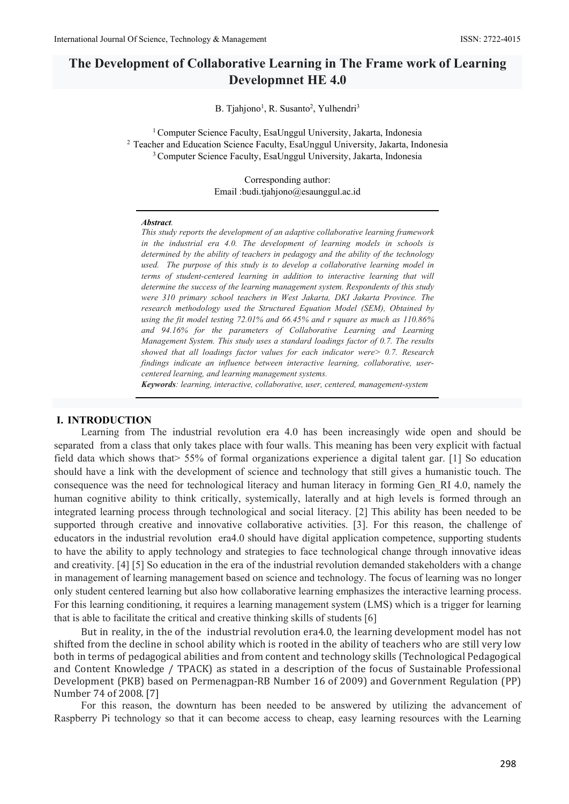# **The Development of Collaborative Learning in The Frame work of Learning Developmnet HE 4.0**

B. Tjahjono<sup>1</sup>, R. Susanto<sup>2</sup>, Yulhendri<sup>3</sup>

<sup>1</sup> Computer Science Faculty, EsaUnggul University, Jakarta, Indonesia <sup>2</sup> Teacher and Education Science Faculty, EsaUnggul University, Jakarta, Indonesia <sup>3</sup> Computer Science Faculty, EsaUnggul University, Jakarta, Indonesia

> Corresponding author: Email :budi.tjahjono@esaunggul.ac.id

#### *Abstract.*

*This study reports the development of an adaptive collaborative learning framework in the industrial era 4.0. The development of learning models in schools is determined by the ability of teachers in pedagogy and the ability of the technology used. The purpose of this study is to develop a collaborative learning model in terms of student-centered learning in addition to interactive learning that will determine the success of the learning management system. Respondents of this study were 310 primary school teachers in West Jakarta, DKI Jakarta Province. The research methodology used the Structured Equation Model (SEM), Obtained by using the fit model testing 72.01% and 66.45% and r square as much as 110.86% and 94.16% for the parameters of Collaborative Learning and Learning Management System. This study uses a standard loadings factor of 0.7. The results showed that all loadings factor values for each indicator were> 0.7. Research findings indicate an influence between interactive learning, collaborative, usercentered learning, and learning management systems.*

*Keywords: learning, interactive, collaborative, user, centered, management-system*

#### **I. INTRODUCTION**

Learning from The industrial revolution era 4.0 has been increasingly wide open and should be separated from a class that only takes place with four walls. This meaning has been very explicit with factual field data which shows that> 55% of formal organizations experience a digital talent gar. [1] So education should have a link with the development of science and technology that still gives a humanistic touch. The consequence was the need for technological literacy and human literacy in forming Gen\_RI 4.0, namely the human cognitive ability to think critically, systemically, laterally and at high levels is formed through an integrated learning process through technological and social literacy. [2] This ability has been needed to be supported through creative and innovative collaborative activities. [3]. For this reason, the challenge of educators in the industrial revolution era4.0 should have digital application competence, supporting students to have the ability to apply technology and strategies to face technological change through innovative ideas and creativity. [4] [5] So education in the era of the industrial revolution demanded stakeholders with a change in management of learning management based on science and technology. The focus of learning was no longer only student centered learning but also how collaborative learning emphasizes the interactive learning process. For this learning conditioning, it requires a learning management system (LMS) which is a trigger for learning that is able to facilitate the critical and creative thinking skills of students [6]

But in reality, in the of the industrial revolution era4.0, the learning development model has not shifted from the decline in school ability which is rooted in the ability of teachers who are still very low both in terms of pedagogical abilities and from content and technology skills (Technological Pedagogical and Content Knowledge / TPACK) as stated in a description of the focus of Sustainable Professional Development (PKB) based on Permenagpan-RB Number 16 of 2009) and Government Regulation (PP) Number 74 of 2008. [7]

For this reason, the downturn has been needed to be answered by utilizing the advancement of Raspberry Pi technology so that it can become access to cheap, easy learning resources with the Learning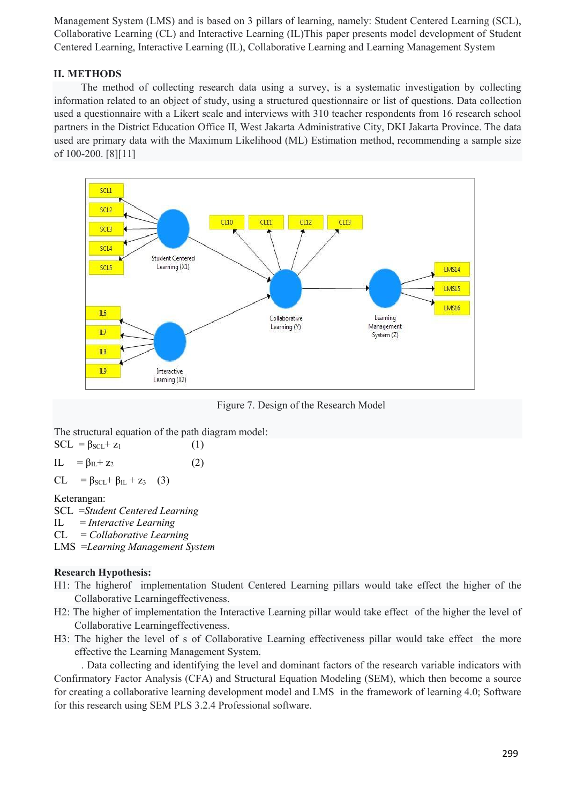Management System (LMS) and is based on 3 pillars of learning, namely: Student Centered Learning (SCL), Collaborative Learning (CL) and Interactive Learning (IL)This paper presents model development of Student Centered Learning, Interactive Learning (IL), Collaborative Learning and Learning Management System

# **II. METHODS**

The method of collecting research data using a survey, is a systematic investigation by collecting information related to an object of study, using a structured questionnaire or list of questions. Data collection used a questionnaire with a Likert scale and interviews with 310 teacher respondents from 16 research school partners in the District Education Office II, West Jakarta Administrative City, DKI Jakarta Province. The data used are primary data with the Maximum Likelihood (ML) Estimation method, recommending a sample size of 100-200. [8][11]



Figure 7. Design of the Research Model

The structural equation of the path diagram model:

| $SCL = \beta_{SCL} + z_1$                 | (1) |
|-------------------------------------------|-----|
| IL = $\beta_{\text{IL}}$ + z <sub>2</sub> | (2) |

 $CL = \beta_{\text{SCL}} + \beta_{\text{IL}} + z_3$  (3)

### Keterangan:

SCL =*Student Centered Learning* IL = *Interactive Learning* CL = *Collaborative Learning* LMS =*Learning Management System*

### **Research Hypothesis:**

- H1: The higherof implementation Student Centered Learning pillars would take effect the higher of the Collaborative Learningeffectiveness.
- H2: The higher of implementation the Interactive Learning pillar would take effect of the higher the level of Collaborative Learningeffectiveness.
- H3: The higher the level of s of Collaborative Learning effectiveness pillar would take effect the more effective the Learning Management System.

. Data collecting and identifying the level and dominant factors of the research variable indicators with Confirmatory Factor Analysis (CFA) and Structural Equation Modeling (SEM), which then become a source for creating a collaborative learning development model and LMS in the framework of learning 4.0; Software for this research using SEM PLS 3.2.4 Professional software.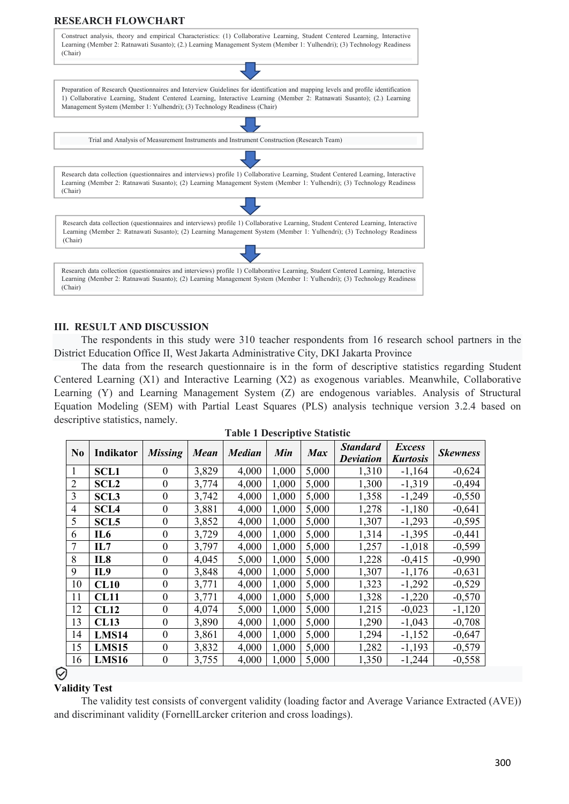# **RESEARCH FLOWCHART**



#### **III. RESULT AND DISCUSSION**

The respondents in this study were 310 teacher respondents from 16 research school partners in the District Education Office II, West Jakarta Administrative City, DKI Jakarta Province

The data from the research questionnaire is in the form of descriptive statistics regarding Student Centered Learning (X1) and Interactive Learning (X2) as exogenous variables. Meanwhile, Collaborative Learning (Y) and Learning Management System (Z) are endogenous variables. Analysis of Structural Equation Modeling (SEM) with Partial Least Squares (PLS) analysis technique version 3.2.4 based on descriptive statistics, namely.

| N <sub>0</sub> | <b>Indikator</b> | <b>Missing</b>   | <b>Mean</b> | <b>Median</b> | Min   | <b>Max</b> | <b>Standard</b>  | <i>Excess</i>   | <b>Skewness</b> |
|----------------|------------------|------------------|-------------|---------------|-------|------------|------------------|-----------------|-----------------|
|                |                  |                  |             |               |       |            | <b>Deviation</b> | <b>Kurtosis</b> |                 |
| $\mathbf{1}$   | <b>SCL1</b>      | $\bf{0}$         | 3,829       | 4,000         | 1,000 | 5,000      | 1,310            | $-1,164$        | $-0,624$        |
| $\overline{2}$ | <b>SCL2</b>      | $\boldsymbol{0}$ | 3,774       | 4,000         | 1,000 | 5,000      | 1,300            | $-1,319$        | $-0,494$        |
| 3              | <b>SCL3</b>      | $\boldsymbol{0}$ | 3,742       | 4,000         | 1,000 | 5,000      | 1,358            | $-1,249$        | $-0,550$        |
| $\overline{4}$ | <b>SCL4</b>      | $\boldsymbol{0}$ | 3,881       | 4,000         | 1,000 | 5,000      | 1,278            | $-1,180$        | $-0,641$        |
| 5              | SCL <sub>5</sub> | $\boldsymbol{0}$ | 3,852       | 4,000         | 1,000 | 5,000      | 1,307            | $-1,293$        | $-0,595$        |
| 6              | IL6              | $\boldsymbol{0}$ | 3,729       | 4,000         | 1,000 | 5,000      | 1,314            | $-1,395$        | $-0,441$        |
| $\overline{7}$ | IL7              | $\boldsymbol{0}$ | 3,797       | 4,000         | 1,000 | 5,000      | 1,257            | $-1,018$        | $-0,599$        |
| 8              | IL8              | $\boldsymbol{0}$ | 4,045       | 5,000         | 1,000 | 5,000      | 1,228            | $-0,415$        | $-0,990$        |
| 9              | IL9              | $\boldsymbol{0}$ | 3,848       | 4,000         | 1,000 | 5,000      | 1,307            | $-1,176$        | $-0,631$        |
| 10             | CL10             | $\boldsymbol{0}$ | 3,771       | 4,000         | 1,000 | 5,000      | 1,323            | $-1,292$        | $-0,529$        |
| 11             | <b>CL11</b>      | $\boldsymbol{0}$ | 3,771       | 4,000         | 1,000 | 5,000      | 1,328            | $-1,220$        | $-0,570$        |
| 12             | <b>CL12</b>      | $\boldsymbol{0}$ | 4,074       | 5,000         | 1,000 | 5,000      | 1,215            | $-0,023$        | $-1,120$        |
| 13             | <b>CL13</b>      | $\boldsymbol{0}$ | 3,890       | 4,000         | 1,000 | 5,000      | 1,290            | $-1,043$        | $-0,708$        |
| 14             | LMS14            | $\theta$         | 3,861       | 4,000         | 1,000 | 5,000      | 1,294            | $-1,152$        | $-0,647$        |
| 15             | LMS15            | $\boldsymbol{0}$ | 3,832       | 4,000         | 1,000 | 5,000      | 1,282            | $-1,193$        | $-0,579$        |
| 16             | <b>LMS16</b>     | $\boldsymbol{0}$ | 3,755       | 4,000         | 1,000 | 5,000      | 1,350            | $-1,244$        | $-0,558$        |
|                |                  |                  |             |               |       |            |                  |                 |                 |

# ♡

#### **Validity Test**

The validity test consists of convergent validity (loading factor and Average Variance Extracted (AVE)) and discriminant validity (FornellLarcker criterion and cross loadings).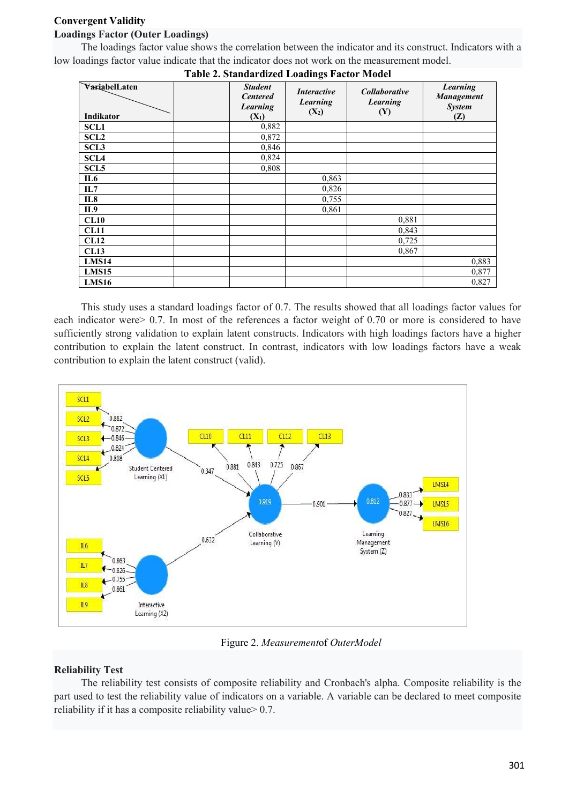# **Convergent Validity**

# **Loadings Factor (Outer Loadings)**

The loadings factor value shows the correlation between the indicator and its construct. Indicators with a low loadings factor value indicate that the indicator does not work on the measurement model.

|                            |                                                          | Table 2. Standardized Ebadings Pactor Model |                                                |                                                       |
|----------------------------|----------------------------------------------------------|---------------------------------------------|------------------------------------------------|-------------------------------------------------------|
| VariabelLaten<br>Indikator | <b>Student</b><br><b>Centered</b><br>Learning<br>$(X_1)$ | <i>Interactive</i><br>Learning<br>$(X_2)$   | <i>Collaborative</i><br><b>Learning</b><br>(Y) | <b>Learning</b><br>Management<br><b>System</b><br>(Z) |
| <b>SCL1</b>                | 0,882                                                    |                                             |                                                |                                                       |
| <b>SCL2</b>                | 0,872                                                    |                                             |                                                |                                                       |
| <b>SCL3</b>                | 0,846                                                    |                                             |                                                |                                                       |
| SCL <sub>4</sub>           | 0,824                                                    |                                             |                                                |                                                       |
| SCL <sub>5</sub>           | 0,808                                                    |                                             |                                                |                                                       |
| IL6                        |                                                          | 0,863                                       |                                                |                                                       |
| IL7                        |                                                          | 0,826                                       |                                                |                                                       |
| IL8                        |                                                          | 0,755                                       |                                                |                                                       |
| IL9                        |                                                          | 0,861                                       |                                                |                                                       |
| CL10                       |                                                          |                                             | 0,881                                          |                                                       |
| <b>CL11</b>                |                                                          |                                             | 0,843                                          |                                                       |
| CL12                       |                                                          |                                             | 0,725                                          |                                                       |
| CL13                       |                                                          |                                             | 0,867                                          |                                                       |
| LMS14                      |                                                          |                                             |                                                | 0,883                                                 |
| LMS15                      |                                                          |                                             |                                                | 0,877                                                 |
| LMS16                      |                                                          |                                             |                                                | 0,827                                                 |

**Table 2. Standardized Loadings Factor Model**

This study uses a standard loadings factor of 0.7. The results showed that all loadings factor values for each indicator were > 0.7. In most of the references a factor weight of 0.70 or more is considered to have sufficiently strong validation to explain latent constructs. Indicators with high loadings factors have a higher contribution to explain the latent construct. In contrast, indicators with low loadings factors have a weak contribution to explain the latent construct (valid).



Figure 2. *Measurement*of *OuterModel*

# **Reliability Test**

The reliability test consists of composite reliability and Cronbach's alpha. Composite reliability is the part used to test the reliability value of indicators on a variable. A variable can be declared to meet composite reliability if it has a composite reliability value> 0.7.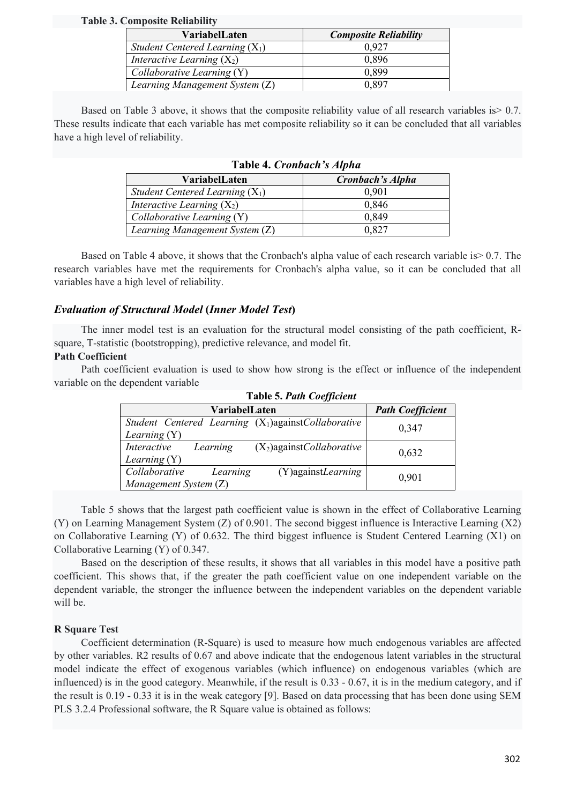#### **Table 3. Composite Reliability**

| VariabelLaten                     | <b>Composite Reliability</b> |
|-----------------------------------|------------------------------|
| Student Centered Learning $(X_1)$ | 0.927                        |
| Interactive Learning $(X_2)$      | 0,896                        |
| Collaborative Learning (Y)        | 0.899                        |
| Learning Management System (Z)    | 0.897                        |

Based on Table 3 above, it shows that the composite reliability value of all research variables is > 0.7. These results indicate that each variable has met composite reliability so it can be concluded that all variables have a high level of reliability.

| Twore it cronouch binplum         |                  |  |  |
|-----------------------------------|------------------|--|--|
| VariabelLaten                     | Cronbach's Alpha |  |  |
| Student Centered Learning $(X_1)$ | 0,901            |  |  |
| Interactive Learning $(X_2)$      | 0,846            |  |  |
| Collaborative Learning $(Y)$      | 0,849            |  |  |
| Learning Management System (Z)    | 0.827            |  |  |

# **Table 4.** *Cronbach's Alpha*

Based on Table 4 above, it shows that the Cronbach's alpha value of each research variable is> 0.7. The research variables have met the requirements for Cronbach's alpha value, so it can be concluded that all variables have a high level of reliability.

# *Evaluation of Structural Model* **(***Inner Model Test***)**

The inner model test is an evaluation for the structural model consisting of the path coefficient, Rsquare, T-statistic (bootstropping), predictive relevance, and model fit.

### **Path Coefficient**

Path coefficient evaluation is used to show how strong is the effect or influence of the independent variable on the dependent variable

| Lable 5. Pain Coefficient                                                  |                         |  |  |  |
|----------------------------------------------------------------------------|-------------------------|--|--|--|
| VariabelLaten                                                              | <b>Path Coefficient</b> |  |  |  |
| Student Centered Learning $(X_1)$ againstCollaborative<br>Learning (Y)     | 0,347                   |  |  |  |
| $(X_2)$ againstCollaborative<br>Interactive<br>Learning<br>Learning $(Y)$  | 0,632                   |  |  |  |
| Collaborative<br>(Y) against Learning<br>Learning<br>Management System (Z) | 0,901                   |  |  |  |

# **Table 5.** *Path Coefficient*

Table 5 shows that the largest path coefficient value is shown in the effect of Collaborative Learning (Y) on Learning Management System (Z) of 0.901. The second biggest influence is Interactive Learning (X2) on Collaborative Learning (Y) of 0.632. The third biggest influence is Student Centered Learning (X1) on Collaborative Learning (Y) of 0.347.

Based on the description of these results, it shows that all variables in this model have a positive path coefficient. This shows that, if the greater the path coefficient value on one independent variable on the dependent variable, the stronger the influence between the independent variables on the dependent variable will be.

### **R Square Test**

Coefficient determination (R-Square) is used to measure how much endogenous variables are affected by other variables. R2 results of 0.67 and above indicate that the endogenous latent variables in the structural model indicate the effect of exogenous variables (which influence) on endogenous variables (which are influenced) is in the good category. Meanwhile, if the result is 0.33 - 0.67, it is in the medium category, and if the result is 0.19 - 0.33 it is in the weak category [9]. Based on data processing that has been done using SEM PLS 3.2.4 Professional software, the R Square value is obtained as follows: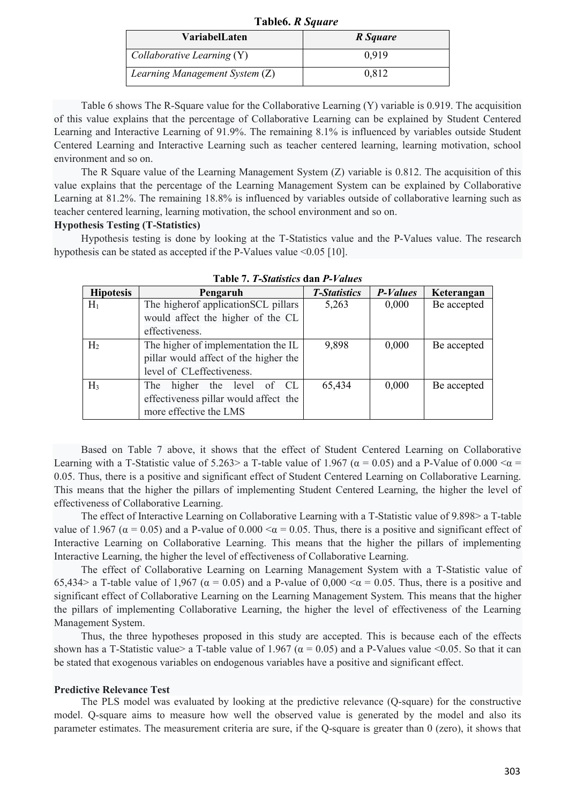| <b>VariabelLaten</b>           | R Square |
|--------------------------------|----------|
| Collaborative Learning (Y)     | 0.919    |
| Learning Management System (Z) | 0.812    |

**Table6.** *R Square*

Table 6 shows The R-Square value for the Collaborative Learning (Y) variable is 0.919. The acquisition of this value explains that the percentage of Collaborative Learning can be explained by Student Centered Learning and Interactive Learning of 91.9%. The remaining 8.1% is influenced by variables outside Student Centered Learning and Interactive Learning such as teacher centered learning, learning motivation, school environment and so on.

The R Square value of the Learning Management System (Z) variable is 0.812. The acquisition of this value explains that the percentage of the Learning Management System can be explained by Collaborative Learning at 81.2%. The remaining 18.8% is influenced by variables outside of collaborative learning such as teacher centered learning, learning motivation, the school environment and so on.

### **Hypothesis Testing (T-Statistics)**

Hypothesis testing is done by looking at the T-Statistics value and the P-Values value. The research hypothesis can be stated as accepted if the P-Values value  $\leq 0.05$  [10].

| <b>Hipotesis</b> | Pengaruh                              | <b>T-Statistics</b> | <b>P-Values</b> | Keterangan  |
|------------------|---------------------------------------|---------------------|-----------------|-------------|
| $H_1$            | The higher of application SCL pillars | 5,263               | 0,000           | Be accepted |
|                  | would affect the higher of the CL     |                     |                 |             |
|                  | effectiveness.                        |                     |                 |             |
| H <sub>2</sub>   | The higher of implementation the IL   | 9,898               | 0,000           | Be accepted |
|                  | pillar would affect of the higher the |                     |                 |             |
|                  | level of CLeffectiveness.             |                     |                 |             |
| $H_3$            | higher the level of CL<br>The         | 65,434              | 0,000           | Be accepted |
|                  | effectiveness pillar would affect the |                     |                 |             |
|                  | more effective the LMS                |                     |                 |             |

**Table 7.** *T-Statistics* **dan** *P-Values*

Based on Table 7 above, it shows that the effect of Student Centered Learning on Collaborative Learning with a T-Statistic value of 5.263> a T-table value of 1.967 ( $\alpha$  = 0.05) and a P-Value of 0.000 < $\alpha$  = 0.05. Thus, there is a positive and significant effect of Student Centered Learning on Collaborative Learning. This means that the higher the pillars of implementing Student Centered Learning, the higher the level of effectiveness of Collaborative Learning.

The effect of Interactive Learning on Collaborative Learning with a T-Statistic value of 9.898> a T-table value of 1.967 ( $\alpha$  = 0.05) and a P-value of 0.000  $\alpha$  = 0.05. Thus, there is a positive and significant effect of Interactive Learning on Collaborative Learning. This means that the higher the pillars of implementing Interactive Learning, the higher the level of effectiveness of Collaborative Learning.

The effect of Collaborative Learning on Learning Management System with a T-Statistic value of 65,434> a T-table value of 1,967 ( $\alpha$  = 0.05) and a P-value of 0,000 < $\alpha$  = 0.05. Thus, there is a positive and significant effect of Collaborative Learning on the Learning Management System. This means that the higher the pillars of implementing Collaborative Learning, the higher the level of effectiveness of the Learning Management System.

Thus, the three hypotheses proposed in this study are accepted. This is because each of the effects shown has a T-Statistic value > a T-table value of 1.967 ( $\alpha$  = 0.05) and a P-Values value <0.05. So that it can be stated that exogenous variables on endogenous variables have a positive and significant effect.

### **Predictive Relevance Test**

The PLS model was evaluated by looking at the predictive relevance (Q-square) for the constructive model. Q-square aims to measure how well the observed value is generated by the model and also its parameter estimates. The measurement criteria are sure, if the Q-square is greater than 0 (zero), it shows that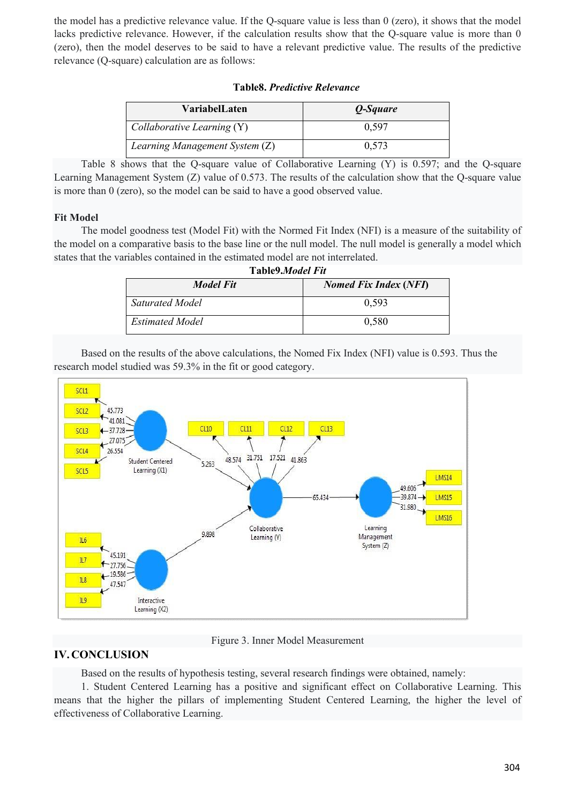the model has a predictive relevance value. If the Q-square value is less than 0 (zero), it shows that the model lacks predictive relevance. However, if the calculation results show that the Q-square value is more than 0 (zero), then the model deserves to be said to have a relevant predictive value. The results of the predictive relevance (Q-square) calculation are as follows:

| VariabelLaten                  | Q-Square |
|--------------------------------|----------|
| Collaborative Learning (Y)     | 0.597    |
| Learning Management System (Z) | 0.573    |

# **Table8.** *Predictive Relevance*

Table 8 shows that the Q-square value of Collaborative Learning (Y) is 0.597; and the Q-square Learning Management System (Z) value of 0.573. The results of the calculation show that the Q-square value is more than 0 (zero), so the model can be said to have a good observed value.

# **Fit Model**

The model goodness test (Model Fit) with the Normed Fit Index (NFI) is a measure of the suitability of the model on a comparative basis to the base line or the null model. The null model is generally a model which states that the variables contained in the estimated model are not interrelated.

| Table9.Model Fit       |                              |  |  |
|------------------------|------------------------------|--|--|
| Model Fit              | <b>Nomed Fix Index (NFI)</b> |  |  |
| Saturated Model        | 0.593                        |  |  |
| <b>Estimated Model</b> | 0,580                        |  |  |

Based on the results of the above calculations, the Nomed Fix Index (NFI) value is 0.593. Thus the research model studied was 59.3% in the fit or good category.



Figure 3. Inner Model Measurement

# **IV. CONCLUSION**

Based on the results of hypothesis testing, several research findings were obtained, namely:

1. Student Centered Learning has a positive and significant effect on Collaborative Learning. This means that the higher the pillars of implementing Student Centered Learning, the higher the level of effectiveness of Collaborative Learning.